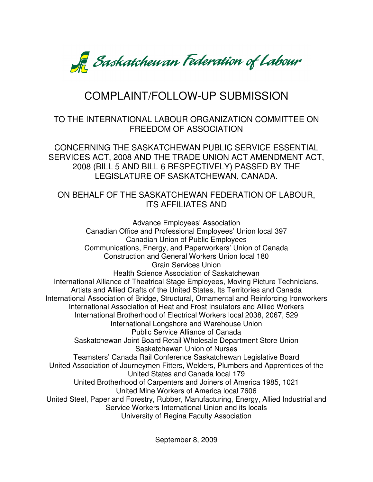

# COMPLAINT/FOLLOW-UP SUBMISSION

# TO THE INTERNATIONAL LABOUR ORGANIZATION COMMITTEE ON FREEDOM OF ASSOCIATION

CONCERNING THE SASKATCHEWAN PUBLIC SERVICE ESSENTIAL SERVICES ACT, 2008 AND THE TRADE UNION ACT AMENDMENT ACT, 2008 (BILL 5 AND BILL 6 RESPECTIVELY) PASSED BY THE LEGISLATURE OF SASKATCHEWAN, CANADA.

## ON BEHALF OF THE SASKATCHEWAN FEDERATION OF LABOUR, ITS AFFILIATES AND

Advance Employees' Association Canadian Office and Professional Employees' Union local 397 Canadian Union of Public Employees Communications, Energy, and Paperworkers' Union of Canada Construction and General Workers Union local 180 Grain Services Union Health Science Association of Saskatchewan International Alliance of Theatrical Stage Employees, Moving Picture Technicians, Artists and Allied Crafts of the United States, Its Territories and Canada International Association of Bridge, Structural, Ornamental and Reinforcing Ironworkers International Association of Heat and Frost Insulators and Allied Workers International Brotherhood of Electrical Workers local 2038, 2067, 529 International Longshore and Warehouse Union Public Service Alliance of Canada Saskatchewan Joint Board Retail Wholesale Department Store Union Saskatchewan Union of Nurses Teamsters' Canada Rail Conference Saskatchewan Legislative Board United Association of Journeymen Fitters, Welders, Plumbers and Apprentices of the United States and Canada local 179 United Brotherhood of Carpenters and Joiners of America 1985, 1021 United Mine Workers of America local 7606 United Steel, Paper and Forestry, Rubber, Manufacturing, Energy, Allied Industrial and Service Workers International Union and its locals University of Regina Faculty Association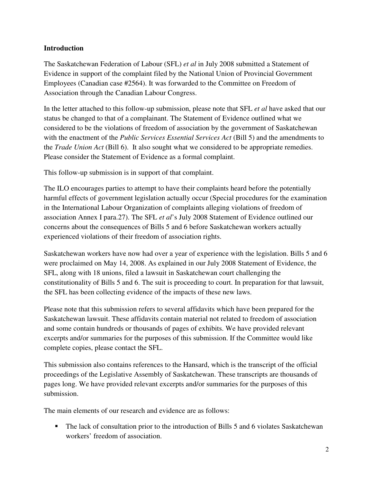## **Introduction**

The Saskatchewan Federation of Labour (SFL) *et al* in July 2008 submitted a Statement of Evidence in support of the complaint filed by the National Union of Provincial Government Employees (Canadian case #2564). It was forwarded to the Committee on Freedom of Association through the Canadian Labour Congress.

In the letter attached to this follow-up submission, please note that SFL *et al* have asked that our status be changed to that of a complainant. The Statement of Evidence outlined what we considered to be the violations of freedom of association by the government of Saskatchewan with the enactment of the *Public Services Essential Services Act* (Bill 5) and the amendments to the *Trade Union Act* (Bill 6). It also sought what we considered to be appropriate remedies. Please consider the Statement of Evidence as a formal complaint.

This follow-up submission is in support of that complaint.

The ILO encourages parties to attempt to have their complaints heard before the potentially harmful effects of government legislation actually occur (Special procedures for the examination in the International Labour Organization of complaints alleging violations of freedom of association Annex I para.27). The SFL *et al*'s July 2008 Statement of Evidence outlined our concerns about the consequences of Bills 5 and 6 before Saskatchewan workers actually experienced violations of their freedom of association rights.

Saskatchewan workers have now had over a year of experience with the legislation. Bills 5 and 6 were proclaimed on May 14, 2008. As explained in our July 2008 Statement of Evidence, the SFL, along with 18 unions, filed a lawsuit in Saskatchewan court challenging the constitutionality of Bills 5 and 6. The suit is proceeding to court. In preparation for that lawsuit, the SFL has been collecting evidence of the impacts of these new laws.

Please note that this submission refers to several affidavits which have been prepared for the Saskatchewan lawsuit. These affidavits contain material not related to freedom of association and some contain hundreds or thousands of pages of exhibits. We have provided relevant excerpts and/or summaries for the purposes of this submission. If the Committee would like complete copies, please contact the SFL.

This submission also contains references to the Hansard, which is the transcript of the official proceedings of the Legislative Assembly of Saskatchewan. These transcripts are thousands of pages long. We have provided relevant excerpts and/or summaries for the purposes of this submission.

The main elements of our research and evidence are as follows:

 The lack of consultation prior to the introduction of Bills 5 and 6 violates Saskatchewan workers' freedom of association.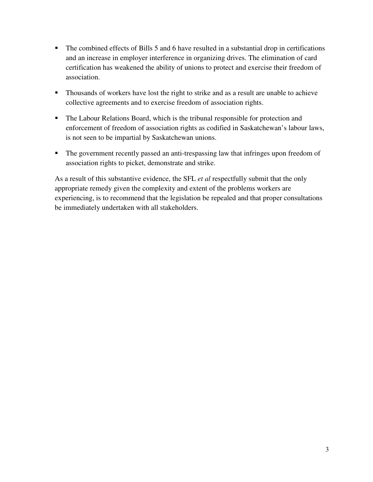- The combined effects of Bills 5 and 6 have resulted in a substantial drop in certifications and an increase in employer interference in organizing drives. The elimination of card certification has weakened the ability of unions to protect and exercise their freedom of association.
- **Thousands of workers have lost the right to strike and as a result are unable to achieve** collective agreements and to exercise freedom of association rights.
- The Labour Relations Board, which is the tribunal responsible for protection and enforcement of freedom of association rights as codified in Saskatchewan's labour laws, is not seen to be impartial by Saskatchewan unions.
- The government recently passed an anti-trespassing law that infringes upon freedom of association rights to picket, demonstrate and strike.

As a result of this substantive evidence, the SFL *et al* respectfully submit that the only appropriate remedy given the complexity and extent of the problems workers are experiencing, is to recommend that the legislation be repealed and that proper consultations be immediately undertaken with all stakeholders.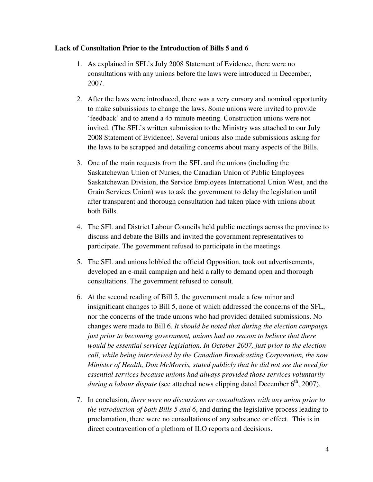#### **Lack of Consultation Prior to the Introduction of Bills 5 and 6**

- 1. As explained in SFL's July 2008 Statement of Evidence, there were no consultations with any unions before the laws were introduced in December, 2007.
- 2. After the laws were introduced, there was a very cursory and nominal opportunity to make submissions to change the laws. Some unions were invited to provide 'feedback' and to attend a 45 minute meeting. Construction unions were not invited. (The SFL's written submission to the Ministry was attached to our July 2008 Statement of Evidence). Several unions also made submissions asking for the laws to be scrapped and detailing concerns about many aspects of the Bills.
- 3. One of the main requests from the SFL and the unions (including the Saskatchewan Union of Nurses, the Canadian Union of Public Employees Saskatchewan Division, the Service Employees International Union West, and the Grain Services Union) was to ask the government to delay the legislation until after transparent and thorough consultation had taken place with unions about both Bills.
- 4. The SFL and District Labour Councils held public meetings across the province to discuss and debate the Bills and invited the government representatives to participate. The government refused to participate in the meetings.
- 5. The SFL and unions lobbied the official Opposition, took out advertisements, developed an e-mail campaign and held a rally to demand open and thorough consultations. The government refused to consult.
- 6. At the second reading of Bill 5, the government made a few minor and insignificant changes to Bill 5, none of which addressed the concerns of the SFL, nor the concerns of the trade unions who had provided detailed submissions. No changes were made to Bill 6. *It should be noted that during the election campaign just prior to becoming government, unions had no reason to believe that there would be essential services legislation. In October 2007, just prior to the election call, while being interviewed by the Canadian Broadcasting Corporation, the now Minister of Health, Don McMorris, stated publicly that he did not see the need for essential services because unions had always provided those services voluntarily during a labour dispute* (see attached news clipping dated December 6<sup>th</sup>, 2007).
- 7. In conclusion, *there were no discussions or consultations with any union prior to the introduction of both Bills 5 and 6*, and during the legislative process leading to proclamation, there were no consultations of any substance or effect. This is in direct contravention of a plethora of ILO reports and decisions.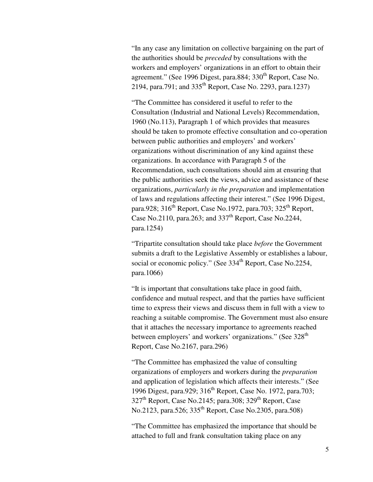"In any case any limitation on collective bargaining on the part of the authorities should be *preceded* by consultations with the workers and employers' organizations in an effort to obtain their agreement." (See 1996 Digest, para.884; 330<sup>th</sup> Report, Case No. 2194, para.791; and 335th Report, Case No. 2293, para.1237)

"The Committee has considered it useful to refer to the Consultation (Industrial and National Levels) Recommendation, 1960 (No.113), Paragraph 1 of which provides that measures should be taken to promote effective consultation and co-operation between public authorities and employers' and workers' organizations without discrimination of any kind against these organizations. In accordance with Paragraph 5 of the Recommendation, such consultations should aim at ensuring that the public authorities seek the views, advice and assistance of these organizations, *particularly in the preparation* and implementation of laws and regulations affecting their interest." (See 1996 Digest, para.928;  $316^{th}$  Report, Case No.1972, para.703;  $325^{th}$  Report, Case No.2110, para.263; and  $337<sup>th</sup>$  Report, Case No.2244, para.1254)

"Tripartite consultation should take place *before* the Government submits a draft to the Legislative Assembly or establishes a labour, social or economic policy." (See 334<sup>th</sup> Report, Case No.2254, para.1066)

"It is important that consultations take place in good faith, confidence and mutual respect, and that the parties have sufficient time to express their views and discuss them in full with a view to reaching a suitable compromise. The Government must also ensure that it attaches the necessary importance to agreements reached between employers' and workers' organizations." (See 328<sup>th</sup>) Report, Case No.2167, para.296)

"The Committee has emphasized the value of consulting organizations of employers and workers during the *preparation* and application of legislation which affects their interests." (See 1996 Digest, para.929; 316<sup>th</sup> Report, Case No. 1972, para.703;  $327<sup>th</sup>$  Report, Case No.2145; para.308;  $329<sup>th</sup>$  Report, Case No.2123, para.526; 335<sup>th</sup> Report, Case No.2305, para.508)

"The Committee has emphasized the importance that should be attached to full and frank consultation taking place on any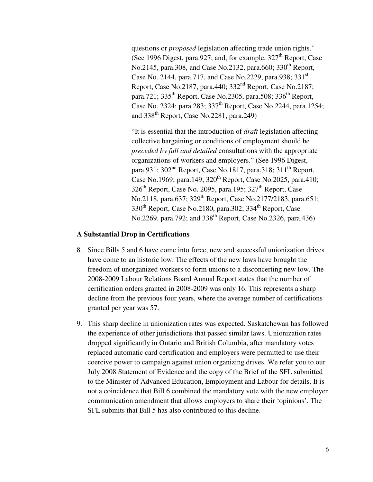questions or *proposed* legislation affecting trade union rights." (See 1996 Digest, para.927; and, for example,  $327<sup>th</sup>$  Report, Case No.2145, para.308, and Case No.2132, para.660; 330<sup>th</sup> Report, Case No. 2144, para.717, and Case No.2229, para.938; 331<sup>st</sup> Report, Case No.2187, para.440; 332nd Report, Case No.2187; para.721;  $335<sup>th</sup>$  Report, Case No.2305, para.508;  $336<sup>th</sup>$  Report, Case No. 2324; para.283; 337th Report, Case No.2244, para.1254; and  $338<sup>th</sup>$  Report, Case No. 2281, para. 249)

"It is essential that the introduction of *draft* legislation affecting collective bargaining or conditions of employment should be *preceded by full and detailed* consultations with the appropriate organizations of workers and employers." (See 1996 Digest, para.931;  $302<sup>nd</sup>$  Report, Case No.1817, para.318;  $311<sup>th</sup>$  Report, Case No.1969; para.149;  $320^{th}$  Report, Case No.2025, para.410;  $326<sup>th</sup>$  Report, Case No. 2095, para.195;  $327<sup>th</sup>$  Report, Case No.2118, para.637; 329<sup>th</sup> Report, Case No.2177/2183, para.651; 330<sup>th</sup> Report, Case No.2180, para.302; 334<sup>th</sup> Report, Case No.2269, para.792; and  $338^{th}$  Report, Case No.2326, para.436)

#### **A Substantial Drop in Certifications**

- 8. Since Bills 5 and 6 have come into force, new and successful unionization drives have come to an historic low. The effects of the new laws have brought the freedom of unorganized workers to form unions to a disconcerting new low. The 2008-2009 Labour Relations Board Annual Report states that the number of certification orders granted in 2008-2009 was only 16. This represents a sharp decline from the previous four years, where the average number of certifications granted per year was 57.
- 9. This sharp decline in unionization rates was expected. Saskatchewan has followed the experience of other jurisdictions that passed similar laws. Unionization rates dropped significantly in Ontario and British Columbia, after mandatory votes replaced automatic card certification and employers were permitted to use their coercive power to campaign against union organizing drives. We refer you to our July 2008 Statement of Evidence and the copy of the Brief of the SFL submitted to the Minister of Advanced Education, Employment and Labour for details. It is not a coincidence that Bill 6 combined the mandatory vote with the new employer communication amendment that allows employers to share their 'opinions'. The SFL submits that Bill 5 has also contributed to this decline.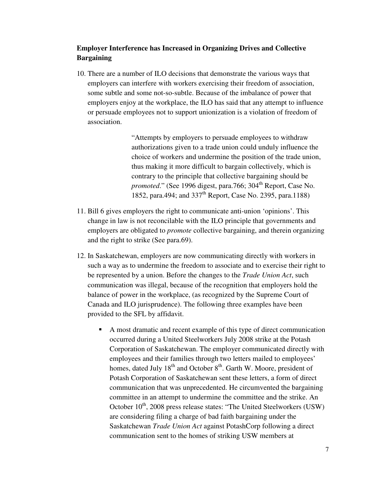## **Employer Interference has Increased in Organizing Drives and Collective Bargaining**

10. There are a number of ILO decisions that demonstrate the various ways that employers can interfere with workers exercising their freedom of association, some subtle and some not-so-subtle. Because of the imbalance of power that employers enjoy at the workplace, the ILO has said that any attempt to influence or persuade employees not to support unionization is a violation of freedom of association.

> "Attempts by employers to persuade employees to withdraw authorizations given to a trade union could unduly influence the choice of workers and undermine the position of the trade union, thus making it more difficult to bargain collectively, which is contrary to the principle that collective bargaining should be *promoted.*" (See 1996 digest, para.766; 304<sup>th</sup> Report, Case No. 1852, para.494; and 337<sup>th</sup> Report, Case No. 2395, para.1188)

- 11. Bill 6 gives employers the right to communicate anti-union 'opinions'. This change in law is not reconcilable with the ILO principle that governments and employers are obligated to *promote* collective bargaining, and therein organizing and the right to strike (See para.69).
- 12. In Saskatchewan, employers are now communicating directly with workers in such a way as to undermine the freedom to associate and to exercise their right to be represented by a union. Before the changes to the *Trade Union Act*, such communication was illegal, because of the recognition that employers hold the balance of power in the workplace, (as recognized by the Supreme Court of Canada and ILO jurisprudence). The following three examples have been provided to the SFL by affidavit.
	- A most dramatic and recent example of this type of direct communication occurred during a United Steelworkers July 2008 strike at the Potash Corporation of Saskatchewan. The employer communicated directly with employees and their families through two letters mailed to employees' homes, dated July  $18<sup>th</sup>$  and October  $8<sup>th</sup>$ . Garth W. Moore, president of Potash Corporation of Saskatchewan sent these letters, a form of direct communication that was unprecedented. He circumvented the bargaining committee in an attempt to undermine the committee and the strike. An October  $10^{th}$ , 2008 press release states: "The United Steelworkers (USW) are considering filing a charge of bad faith bargaining under the Saskatchewan *Trade Union Act* against PotashCorp following a direct communication sent to the homes of striking USW members at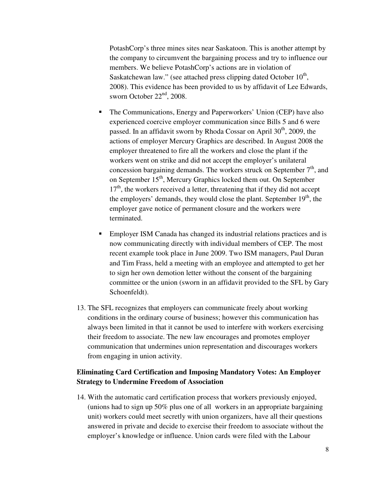PotashCorp's three mines sites near Saskatoon. This is another attempt by the company to circumvent the bargaining process and try to influence our members. We believe PotashCorp's actions are in violation of Saskatchewan law." (see attached press clipping dated October  $10<sup>th</sup>$ , 2008). This evidence has been provided to us by affidavit of Lee Edwards, sworn October  $22<sup>nd</sup>$ , 2008.

- The Communications, Energy and Paperworkers' Union (CEP) have also experienced coercive employer communication since Bills 5 and 6 were passed. In an affidavit sworn by Rhoda Cossar on April  $30<sup>th</sup>$ , 2009, the actions of employer Mercury Graphics are described. In August 2008 the employer threatened to fire all the workers and close the plant if the workers went on strike and did not accept the employer's unilateral concession bargaining demands. The workers struck on September  $7<sup>th</sup>$ , and on September 15<sup>th</sup>, Mercury Graphics locked them out. On September  $17<sup>th</sup>$ , the workers received a letter, threatening that if they did not accept the employers' demands, they would close the plant. September  $19<sup>th</sup>$ , the employer gave notice of permanent closure and the workers were terminated.
- Employer ISM Canada has changed its industrial relations practices and is now communicating directly with individual members of CEP. The most recent example took place in June 2009. Two ISM managers, Paul Duran and Tim Frass, held a meeting with an employee and attempted to get her to sign her own demotion letter without the consent of the bargaining committee or the union (sworn in an affidavit provided to the SFL by Gary Schoenfeldt).
- 13. The SFL recognizes that employers can communicate freely about working conditions in the ordinary course of business; however this communication has always been limited in that it cannot be used to interfere with workers exercising their freedom to associate. The new law encourages and promotes employer communication that undermines union representation and discourages workers from engaging in union activity.

## **Eliminating Card Certification and Imposing Mandatory Votes: An Employer Strategy to Undermine Freedom of Association**

14. With the automatic card certification process that workers previously enjoyed, (unions had to sign up 50% plus one of all workers in an appropriate bargaining unit) workers could meet secretly with union organizers, have all their questions answered in private and decide to exercise their freedom to associate without the employer's knowledge or influence. Union cards were filed with the Labour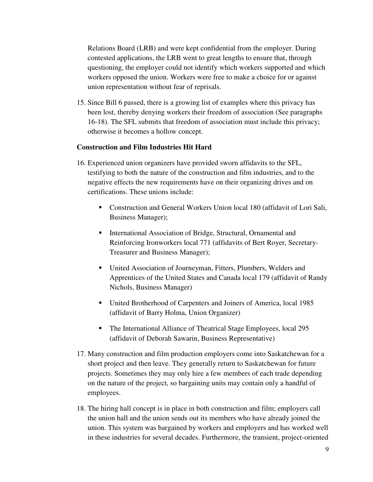Relations Board (LRB) and were kept confidential from the employer. During contested applications, the LRB went to great lengths to ensure that, through questioning, the employer could not identify which workers supported and which workers opposed the union. Workers were free to make a choice for or against union representation without fear of reprisals.

15. Since Bill 6 passed, there is a growing list of examples where this privacy has been lost, thereby denying workers their freedom of association (See paragraphs 16-18). The SFL submits that freedom of association must include this privacy; otherwise it becomes a hollow concept.

## **Construction and Film Industries Hit Hard**

- 16. Experienced union organizers have provided sworn affidavits to the SFL, testifying to both the nature of the construction and film industries, and to the negative effects the new requirements have on their organizing drives and on certifications. These unions include:
	- Construction and General Workers Union local 180 (affidavit of Lori Sali, Business Manager);
	- **International Association of Bridge, Structural, Ornamental and** Reinforcing Ironworkers local 771 (affidavits of Bert Royer, Secretary-Treasurer and Business Manager);
	- United Association of Journeyman, Fitters, Plumbers, Welders and Apprentices of the United States and Canada local 179 (affidavit of Randy Nichols, Business Manager)
	- United Brotherhood of Carpenters and Joiners of America, local 1985 (affidavit of Barry Holma, Union Organizer)
	- The International Alliance of Theatrical Stage Employees, local 295 (affidavit of Deborah Sawarin, Business Representative)
- 17. Many construction and film production employers come into Saskatchewan for a short project and then leave. They generally return to Saskatchewan for future projects. Sometimes they may only hire a few members of each trade depending on the nature of the project, so bargaining units may contain only a handful of employees.
- 18. The hiring hall concept is in place in both construction and film; employers call the union hall and the union sends out its members who have already joined the union. This system was bargained by workers and employers and has worked well in these industries for several decades. Furthermore, the transient, project-oriented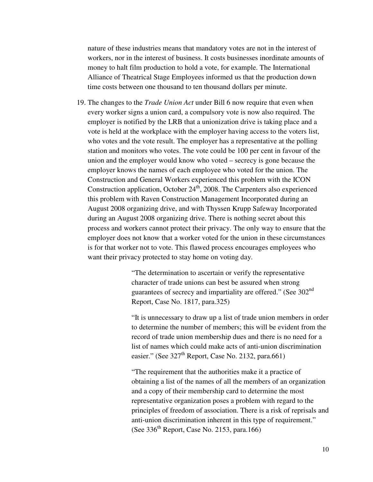nature of these industries means that mandatory votes are not in the interest of workers, nor in the interest of business. It costs businesses inordinate amounts of money to halt film production to hold a vote, for example. The International Alliance of Theatrical Stage Employees informed us that the production down time costs between one thousand to ten thousand dollars per minute.

19. The changes to the *Trade Union Act* under Bill 6 now require that even when every worker signs a union card, a compulsory vote is now also required. The employer is notified by the LRB that a unionization drive is taking place and a vote is held at the workplace with the employer having access to the voters list, who votes and the vote result. The employer has a representative at the polling station and monitors who votes. The vote could be 100 per cent in favour of the union and the employer would know who voted – secrecy is gone because the employer knows the names of each employee who voted for the union. The Construction and General Workers experienced this problem with the ICON Construction application, October  $24<sup>th</sup>$ , 2008. The Carpenters also experienced this problem with Raven Construction Management Incorporated during an August 2008 organizing drive, and with Thyssen Krupp Safeway Incorporated during an August 2008 organizing drive. There is nothing secret about this process and workers cannot protect their privacy. The only way to ensure that the employer does not know that a worker voted for the union in these circumstances is for that worker not to vote. This flawed process encourages employees who want their privacy protected to stay home on voting day.

> "The determination to ascertain or verify the representative character of trade unions can best be assured when strong guarantees of secrecy and impartiality are offered." (See 302<sup>nd</sup> Report, Case No. 1817, para.325)

"It is unnecessary to draw up a list of trade union members in order to determine the number of members; this will be evident from the record of trade union membership dues and there is no need for a list of names which could make acts of anti-union discrimination easier." (See  $327<sup>th</sup>$  Report, Case No. 2132, para.661)

"The requirement that the authorities make it a practice of obtaining a list of the names of all the members of an organization and a copy of their membership card to determine the most representative organization poses a problem with regard to the principles of freedom of association. There is a risk of reprisals and anti-union discrimination inherent in this type of requirement." (See  $336<sup>th</sup>$  Report, Case No. 2153, para.166)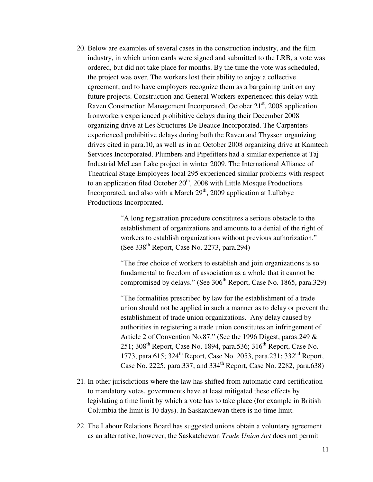20. Below are examples of several cases in the construction industry, and the film industry, in which union cards were signed and submitted to the LRB, a vote was ordered, but did not take place for months. By the time the vote was scheduled, the project was over. The workers lost their ability to enjoy a collective agreement, and to have employers recognize them as a bargaining unit on any future projects. Construction and General Workers experienced this delay with Raven Construction Management Incorporated, October 21<sup>st</sup>, 2008 application. Ironworkers experienced prohibitive delays during their December 2008 organizing drive at Les Structures De Beauce Incorporated. The Carpenters experienced prohibitive delays during both the Raven and Thyssen organizing drives cited in para.10, as well as in an October 2008 organizing drive at Kamtech Services Incorporated. Plumbers and Pipefitters had a similar experience at Taj Industrial McLean Lake project in winter 2009. The International Alliance of Theatrical Stage Employees local 295 experienced similar problems with respect to an application filed October  $20<sup>th</sup>$ , 2008 with Little Mosque Productions Incorporated, and also with a March  $29<sup>th</sup>$ , 2009 application at Lullabye Productions Incorporated.

> "A long registration procedure constitutes a serious obstacle to the establishment of organizations and amounts to a denial of the right of workers to establish organizations without previous authorization." (See  $338<sup>th</sup>$  Report, Case No. 2273, para.294)

"The free choice of workers to establish and join organizations is so fundamental to freedom of association as a whole that it cannot be compromised by delays." (See  $306<sup>th</sup>$  Report, Case No. 1865, para.329)

"The formalities prescribed by law for the establishment of a trade union should not be applied in such a manner as to delay or prevent the establishment of trade union organizations. Any delay caused by authorities in registering a trade union constitutes an infringement of Article 2 of Convention No.87." (See the 1996 Digest, paras.249 & 251;  $308<sup>th</sup>$  Report, Case No. 1894, para.536;  $316<sup>th</sup>$  Report, Case No. 1773, para.615; 324<sup>th</sup> Report, Case No. 2053, para.231; 332<sup>nd</sup> Report, Case No. 2225; para.337; and  $334^{\text{th}}$  Report, Case No. 2282, para.638)

- 21. In other jurisdictions where the law has shifted from automatic card certification to mandatory votes, governments have at least mitigated these effects by legislating a time limit by which a vote has to take place (for example in British Columbia the limit is 10 days). In Saskatchewan there is no time limit.
- 22. The Labour Relations Board has suggested unions obtain a voluntary agreement as an alternative; however, the Saskatchewan *Trade Union Act* does not permit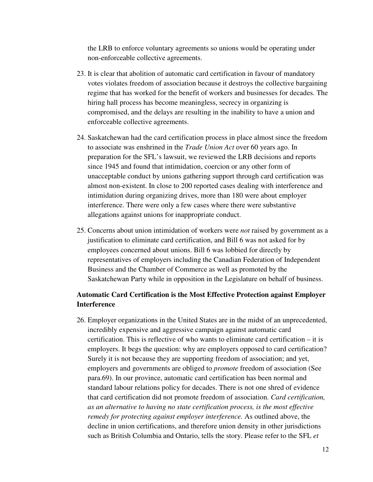the LRB to enforce voluntary agreements so unions would be operating under non-enforceable collective agreements.

- 23. It is clear that abolition of automatic card certification in favour of mandatory votes violates freedom of association because it destroys the collective bargaining regime that has worked for the benefit of workers and businesses for decades. The hiring hall process has become meaningless, secrecy in organizing is compromised, and the delays are resulting in the inability to have a union and enforceable collective agreements.
- 24. Saskatchewan had the card certification process in place almost since the freedom to associate was enshrined in the *Trade Union Act* over 60 years ago. In preparation for the SFL's lawsuit, we reviewed the LRB decisions and reports since 1945 and found that intimidation, coercion or any other form of unacceptable conduct by unions gathering support through card certification was almost non-existent. In close to 200 reported cases dealing with interference and intimidation during organizing drives, more than 180 were about employer interference. There were only a few cases where there were substantive allegations against unions for inappropriate conduct.
- 25. Concerns about union intimidation of workers were *not* raised by government as a justification to eliminate card certification, and Bill 6 was not asked for by employees concerned about unions. Bill 6 was lobbied for directly by representatives of employers including the Canadian Federation of Independent Business and the Chamber of Commerce as well as promoted by the Saskatchewan Party while in opposition in the Legislature on behalf of business.

## **Automatic Card Certification is the Most Effective Protection against Employer Interference**

26. Employer organizations in the United States are in the midst of an unprecedented, incredibly expensive and aggressive campaign against automatic card certification. This is reflective of who wants to eliminate card certification – it is employers. It begs the question: why are employers opposed to card certification? Surely it is not because they are supporting freedom of association; and yet, employers and governments are obliged to *promote* freedom of association (See para.69). In our province, automatic card certification has been normal and standard labour relations policy for decades. There is not one shred of evidence that card certification did not promote freedom of association. *Card certification, as an alternative to having no state certification process, is the most effective remedy for protecting against employer interference.* As outlined above, the decline in union certifications, and therefore union density in other jurisdictions such as British Columbia and Ontario, tells the story. Please refer to the SFL *et*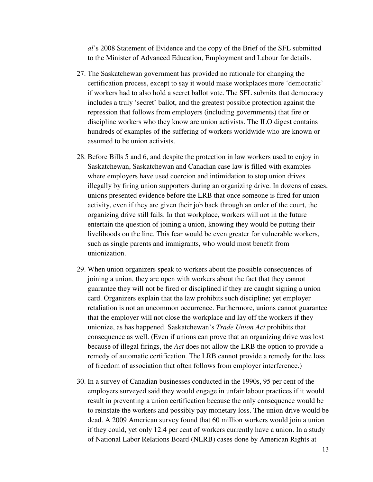*al*'s 2008 Statement of Evidence and the copy of the Brief of the SFL submitted to the Minister of Advanced Education, Employment and Labour for details.

- 27. The Saskatchewan government has provided no rationale for changing the certification process, except to say it would make workplaces more 'democratic' if workers had to also hold a secret ballot vote. The SFL submits that democracy includes a truly 'secret' ballot, and the greatest possible protection against the repression that follows from employers (including governments) that fire or discipline workers who they know are union activists. The ILO digest contains hundreds of examples of the suffering of workers worldwide who are known or assumed to be union activists.
- 28. Before Bills 5 and 6, and despite the protection in law workers used to enjoy in Saskatchewan, Saskatchewan and Canadian case law is filled with examples where employers have used coercion and intimidation to stop union drives illegally by firing union supporters during an organizing drive. In dozens of cases, unions presented evidence before the LRB that once someone is fired for union activity, even if they are given their job back through an order of the court, the organizing drive still fails. In that workplace, workers will not in the future entertain the question of joining a union, knowing they would be putting their livelihoods on the line. This fear would be even greater for vulnerable workers, such as single parents and immigrants, who would most benefit from unionization.
- 29. When union organizers speak to workers about the possible consequences of joining a union, they are open with workers about the fact that they cannot guarantee they will not be fired or disciplined if they are caught signing a union card. Organizers explain that the law prohibits such discipline; yet employer retaliation is not an uncommon occurrence. Furthermore, unions cannot guarantee that the employer will not close the workplace and lay off the workers if they unionize, as has happened. Saskatchewan's *Trade Union Act* prohibits that consequence as well. (Even if unions can prove that an organizing drive was lost because of illegal firings, the *Act* does not allow the LRB the option to provide a remedy of automatic certification. The LRB cannot provide a remedy for the loss of freedom of association that often follows from employer interference.)
- 30. In a survey of Canadian businesses conducted in the 1990s, 95 per cent of the employers surveyed said they would engage in unfair labour practices if it would result in preventing a union certification because the only consequence would be to reinstate the workers and possibly pay monetary loss. The union drive would be dead. A 2009 American survey found that 60 million workers would join a union if they could, yet only 12.4 per cent of workers currently have a union. In a study of National Labor Relations Board (NLRB) cases done by American Rights at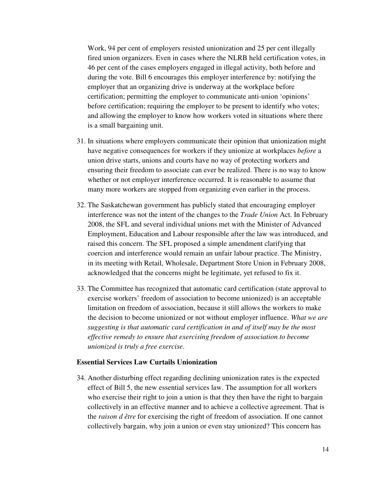Work, 94 per cent of employers resisted unionization and 25 per cent illegally fired union organizers. Even in cases where the NLRB held certification votes, in 46 per cent of the cases employers engaged in illegal activity, both before and during the vote. Bill 6 encourages this employer interference by: notifying the employer that an organizing drive is underway at the workplace before certification; permitting the employer to communicate anti-union 'opinions' before certification; requiring the employer to be present to identify who votes; and allowing the employer to know how workers voted in situations where there is a small bargaining unit.

- 31. In situations where employers communicate their opinion that unionization might have negative consequences for workers if they unionize at workplaces *before* a union drive starts, unions and courts have no way of protecting workers and ensuring their freedom to associate can ever be realized. There is no way to know whether or not employer interference occurred. It is reasonable to assume that many more workers are stopped from organizing even earlier in the process.
- 32. The Saskatchewan government has publicly stated that encouraging employer interference was not the intent of the changes to the *Trade Union* Act. In February 2008, the SFL and several individual unions met with the Minister of Advanced Employment, Education and Labour responsible after the law was introduced, and raised this concern. The SFL proposed a simple amendment clarifying that coercion and interference would remain an unfair labour practice. The Ministry, in its meeting with Retail, Wholesale, Department Store Union in February 2008, acknowledged that the concerns might be legitimate, yet refused to fix it.
- 33. The Committee has recognized that automatic card certification (state approval to exercise workers' freedom of association to become unionized) is an acceptable limitation on freedom of association, because it still allows the workers to make the decision to become unionized or not without employer influence. *What we are suggesting is that automatic card certification in and of itself may be the most effective remedy to ensure that exercising freedom of association to become unionized is truly a free exercise*.

## **Essential Services Law Curtails Unionization**

34. Another disturbing effect regarding declining unionization rates is the expected effect of Bill 5, the new essential services law. The assumption for all workers who exercise their right to join a union is that they then have the right to bargain collectively in an effective manner and to achieve a collective agreement. That is the *raison d être* for exercising the right of freedom of association. If one cannot collectively bargain, why join a union or even stay unionized? This concern has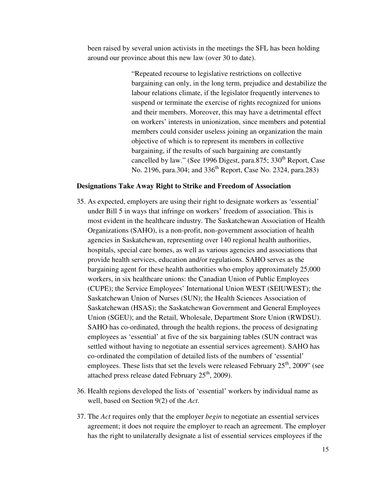been raised by several union activists in the meetings the SFL has been holding around our province about this new law (over 30 to date).

> "Repeated recourse to legislative restrictions on collective bargaining can only, in the long term, prejudice and destabilize the labour relations climate, if the legislator frequently intervenes to suspend or terminate the exercise of rights recognized for unions and their members. Moreover, this may have a detrimental effect on workers' interests in unionization, since members and potential members could consider useless joining an organization the main objective of which is to represent its members in collective bargaining, if the results of such bargaining are constantly cancelled by law." (See 1996 Digest, para.875; 330<sup>th</sup> Report, Case No. 2196, para.304; and 336<sup>th</sup> Report, Case No. 2324, para.283)

## **Designations Take Away Right to Strike and Freedom of Association**

- 35. As expected, employers are using their right to designate workers as 'essential' under Bill 5 in ways that infringe on workers' freedom of association. This is most evident in the healthcare industry. The Saskatchewan Association of Health Organizations (SAHO), is a non-profit, non-government association of health agencies in Saskatchewan, representing over 140 regional health authorities, hospitals, special care homes, as well as various agencies and associations that provide health services, education and/or regulations. SAHO serves as the bargaining agent for these health authorities who employ approximately 25,000 workers, in six healthcare unions: the Canadian Union of Public Employees (CUPE); the Service Employees' International Union WEST (SEIUWEST); the Saskatchewan Union of Nurses (SUN); the Health Sciences Association of Saskatchewan (HSAS); the Saskatchewan Government and General Employees Union (SGEU); and the Retail, Wholesale, Department Store Union (RWDSU). SAHO has co-ordinated, through the health regions, the process of designating employees as 'essential' at five of the six bargaining tables (SUN contract was settled without having to negotiate an essential services agreement). SAHO has co-ordinated the compilation of detailed lists of the numbers of 'essential' employees. These lists that set the levels were released February  $25<sup>th</sup>$ , 2009" (see attached press release dated February  $25<sup>th</sup>$ , 2009).
- 36. Health regions developed the lists of 'essential' workers by individual name as well, based on Section 9(2) of the *Act*.
- 37. The *Act* requires only that the employer *begin* to negotiate an essential services agreement; it does not require the employer to reach an agreement. The employer has the right to unilaterally designate a list of essential services employees if the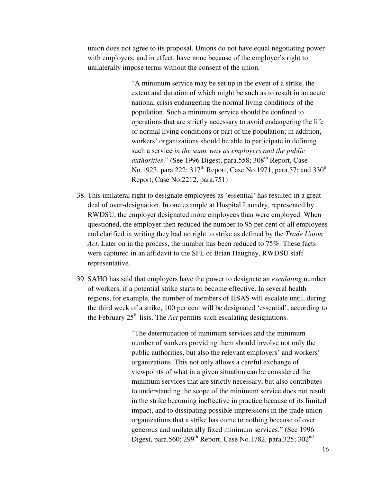union does not agree to its proposal. Unions do not have equal negotiating power with employers, and in effect, have none because of the employer's right to unilaterally impose terms without the consent of the union.

> "A minimum service may be set up in the event of a strike, the extent and duration of which might be such as to result in an acute national crisis endangering the normal living conditions of the population. Such a minimum service should be confined to operations that are strictly necessary to avoid endangering the life or normal living conditions or part of the population; in addition, workers' organizations should be able to participate in defining such a service *in the same way as employers and the public authorities*." (See 1996 Digest, para.558; 308<sup>th</sup> Report, Case No.1923, para.222; 317<sup>th</sup> Report, Case No.1971, para.57; and 330<sup>th</sup> Report, Case No.2212, para.751)

- 38. This unilateral right to designate employees as 'essential' has resulted in a great deal of over-designation. In one example at Hospital Laundry, represented by RWDSU, the employer designated more employees than were employed. When questioned, the employer then reduced the number to 95 per cent of all employees and clarified in writing they had no right to strike as defined by the *Trade Union Act*. Later on in the process, the number has been reduced to 75%. These facts were captured in an affidavit to the SFL of Brian Haughey, RWDSU staff representative.
- 39. SAHO has said that employers have the power to designate an *escalating* number of workers, if a potential strike starts to become effective. In several health regions, for example, the number of members of HSAS will escalate until, during the third week of a strike, 100 per cent will be designated 'essential', according to the February 25th lists. The *Act* permits such escalating designations.

"The determination of minimum services and the minimum number of workers providing them should involve not only the public authorities, but also the relevant employers' and workers' organizations. This not only allows a careful exchange of viewpoints of what in a given situation can be considered the minimum services that are strictly necessary, but also contributes to understanding the scope of the minimum service does not result in the strike becoming ineffective in practice because of its limited impact, and to dissipating possible impressions in the trade union organizations that a strike has come to nothing because of over generous and unilaterally fixed minimum services." (See 1996 Digest, para.560; 299<sup>th</sup> Report, Case No.1782, para.325; 302<sup>nd</sup>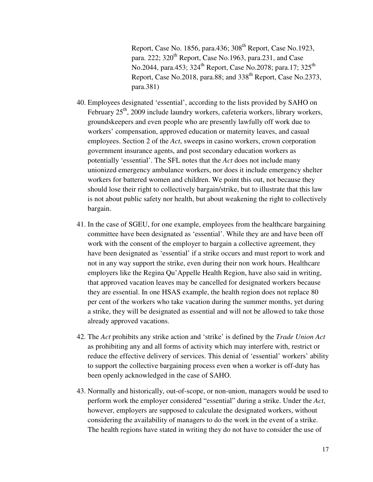Report, Case No. 1856, para.436; 308<sup>th</sup> Report, Case No.1923, para. 222;  $320<sup>th</sup>$  Report, Case No.1963, para.231, and Case No.2044, para.453;  $324^{\text{th}}$  Report, Case No.2078; para.17;  $325^{\text{th}}$ Report, Case No.2018, para.88; and 338<sup>th</sup> Report, Case No.2373, para.381)

- 40. Employees designated 'essential', according to the lists provided by SAHO on February  $25<sup>th</sup>$ , 2009 include laundry workers, cafeteria workers, library workers, groundskeepers and even people who are presently lawfully off work due to workers' compensation, approved education or maternity leaves, and casual employees. Section 2 of the *Act*, sweeps in casino workers, crown corporation government insurance agents, and post secondary education workers as potentially 'essential'. The SFL notes that the *Act* does not include many unionized emergency ambulance workers, nor does it include emergency shelter workers for battered women and children. We point this out, not because they should lose their right to collectively bargain/strike, but to illustrate that this law is not about public safety nor health, but about weakening the right to collectively bargain.
- 41. In the case of SGEU, for one example, employees from the healthcare bargaining committee have been designated as 'essential'. While they are and have been off work with the consent of the employer to bargain a collective agreement, they have been designated as 'essential' if a strike occurs and must report to work and not in any way support the strike, even during their non work hours. Healthcare employers like the Regina Qu'Appelle Health Region, have also said in writing, that approved vacation leaves may be cancelled for designated workers because they are essential. In one HSAS example, the health region does not replace 80 per cent of the workers who take vacation during the summer months, yet during a strike, they will be designated as essential and will not be allowed to take those already approved vacations.
- 42. The *Act* prohibits any strike action and 'strike' is defined by the *Trade Union Act* as prohibiting any and all forms of activity which may interfere with, restrict or reduce the effective delivery of services. This denial of 'essential' workers' ability to support the collective bargaining process even when a worker is off-duty has been openly acknowledged in the case of SAHO.
- 43. Normally and historically, out-of-scope, or non-union, managers would be used to perform work the employer considered "essential" during a strike. Under the *Act*, however, employers are supposed to calculate the designated workers, without considering the availability of managers to do the work in the event of a strike. The health regions have stated in writing they do not have to consider the use of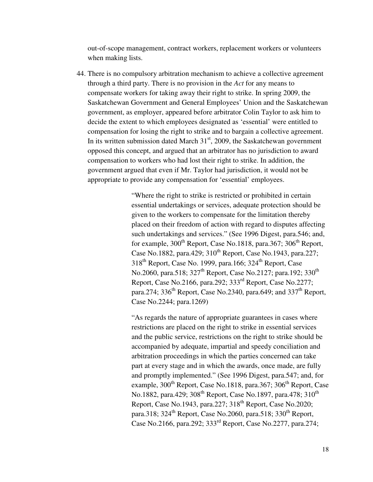out-of-scope management, contract workers, replacement workers or volunteers when making lists.

44. There is no compulsory arbitration mechanism to achieve a collective agreement through a third party. There is no provision in the *Act* for any means to compensate workers for taking away their right to strike. In spring 2009, the Saskatchewan Government and General Employees' Union and the Saskatchewan government, as employer, appeared before arbitrator Colin Taylor to ask him to decide the extent to which employees designated as 'essential' were entitled to compensation for losing the right to strike and to bargain a collective agreement. In its written submission dated March  $31<sup>st</sup>$ , 2009, the Saskatchewan government opposed this concept, and argued that an arbitrator has no jurisdiction to award compensation to workers who had lost their right to strike. In addition, the government argued that even if Mr. Taylor had jurisdiction, it would not be appropriate to provide any compensation for 'essential' employees.

> "Where the right to strike is restricted or prohibited in certain essential undertakings or services, adequate protection should be given to the workers to compensate for the limitation thereby placed on their freedom of action with regard to disputes affecting such undertakings and services." (See 1996 Digest, para.546; and, for example,  $300<sup>th</sup>$  Report, Case No.1818, para.367;  $306<sup>th</sup>$  Report, Case No.1882, para.429; 310<sup>th</sup> Report, Case No.1943, para.227;  $318<sup>th</sup>$  Report, Case No. 1999, para.166;  $324<sup>th</sup>$  Report, Case No.2060, para.518; 327<sup>th</sup> Report, Case No.2127; para.192; 330<sup>th</sup> Report, Case No.2166, para.292; 333rd Report, Case No.2277; para.274; 336<sup>th</sup> Report, Case No.2340, para.649; and 337<sup>th</sup> Report, Case No.2244; para.1269)

"As regards the nature of appropriate guarantees in cases where restrictions are placed on the right to strike in essential services and the public service, restrictions on the right to strike should be accompanied by adequate, impartial and speedy conciliation and arbitration proceedings in which the parties concerned can take part at every stage and in which the awards, once made, are fully and promptly implemented." (See 1996 Digest, para.547; and, for example,  $300<sup>th</sup>$  Report, Case No.1818, para.367;  $306<sup>th</sup>$  Report, Case No.1882, para.429; 308<sup>th</sup> Report, Case No.1897, para.478; 310<sup>th</sup> Report, Case No.1943, para.227;  $318<sup>th</sup>$  Report, Case No.2020; para.318;  $324^{\text{th}}$  Report, Case No.2060, para.518;  $330^{\text{th}}$  Report, Case No.2166, para.292; 333rd Report, Case No.2277, para.274;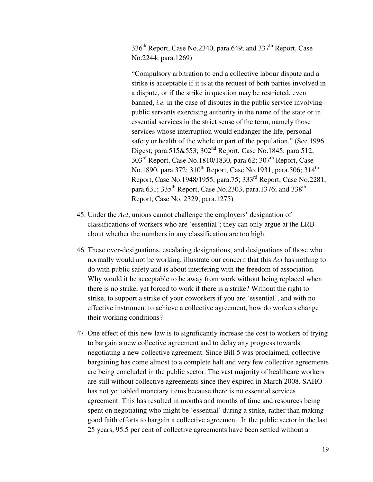336<sup>th</sup> Report, Case No.2340, para.649; and 337<sup>th</sup> Report, Case No.2244; para.1269)

"Compulsory arbitration to end a collective labour dispute and a strike is acceptable if it is at the request of both parties involved in a dispute, or if the strike in question may be restricted, even banned, *i.e.* in the case of disputes in the public service involving public servants exercising authority in the name of the state or in essential services in the strict sense of the term, namely those services whose interruption would endanger the life, personal safety or health of the whole or part of the population." (See 1996 Digest; para.515&553; 302<sup>nd</sup> Report, Case No.1845, para.512;  $303<sup>rd</sup>$  Report, Case No.1810/1830, para.62;  $307<sup>th</sup>$  Report, Case No.1890, para.372; 310<sup>th</sup> Report, Case No.1931, para.506; 314<sup>th</sup> Report, Case No.1948/1955, para.75; 333rd Report, Case No.2281, para.631; 335<sup>th</sup> Report, Case No.2303, para.1376; and 338<sup>th</sup> Report, Case No. 2329, para.1275)

- 45. Under the *Act*, unions cannot challenge the employers' designation of classifications of workers who are 'essential'; they can only argue at the LRB about whether the numbers in any classification are too high.
- 46. These over-designations, escalating designations, and designations of those who normally would not be working, illustrate our concern that this *Act* has nothing to do with public safety and is about interfering with the freedom of association. Why would it be acceptable to be away from work without being replaced when there is no strike, yet forced to work if there is a strike? Without the right to strike, to support a strike of your coworkers if you are 'essential', and with no effective instrument to achieve a collective agreement, how do workers change their working conditions?
- 47. One effect of this new law is to significantly increase the cost to workers of trying to bargain a new collective agreement and to delay any progress towards negotiating a new collective agreement. Since Bill 5 was proclaimed, collective bargaining has come almost to a complete halt and very few collective agreements are being concluded in the public sector. The vast majority of healthcare workers are still without collective agreements since they expired in March 2008. SAHO has not yet tabled monetary items because there is no essential services agreement. This has resulted in months and months of time and resources being spent on negotiating who might be 'essential' during a strike, rather than making good faith efforts to bargain a collective agreement. In the public sector in the last 25 years, 95.5 per cent of collective agreements have been settled without a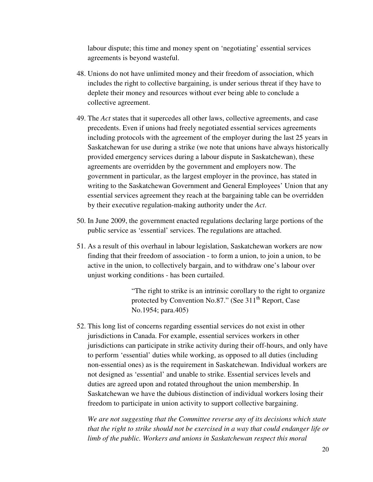labour dispute; this time and money spent on 'negotiating' essential services agreements is beyond wasteful.

- 48. Unions do not have unlimited money and their freedom of association, which includes the right to collective bargaining, is under serious threat if they have to deplete their money and resources without ever being able to conclude a collective agreement.
- 49. The *Act* states that it supercedes all other laws, collective agreements, and case precedents. Even if unions had freely negotiated essential services agreements including protocols with the agreement of the employer during the last 25 years in Saskatchewan for use during a strike (we note that unions have always historically provided emergency services during a labour dispute in Saskatchewan), these agreements are overridden by the government and employers now. The government in particular, as the largest employer in the province, has stated in writing to the Saskatchewan Government and General Employees' Union that any essential services agreement they reach at the bargaining table can be overridden by their executive regulation-making authority under the *Act*.
- 50. In June 2009, the government enacted regulations declaring large portions of the public service as 'essential' services. The regulations are attached.
- 51. As a result of this overhaul in labour legislation, Saskatchewan workers are now finding that their freedom of association - to form a union, to join a union, to be active in the union, to collectively bargain, and to withdraw one's labour over unjust working conditions - has been curtailed.

"The right to strike is an intrinsic corollary to the right to organize protected by Convention No.87." (See 311<sup>th</sup> Report, Case No.1954; para.405)

52. This long list of concerns regarding essential services do not exist in other jurisdictions in Canada. For example, essential services workers in other jurisdictions can participate in strike activity during their off-hours, and only have to perform 'essential' duties while working, as opposed to all duties (including non-essential ones) as is the requirement in Saskatchewan. Individual workers are not designed as 'essential' and unable to strike. Essential services levels and duties are agreed upon and rotated throughout the union membership. In Saskatchewan we have the dubious distinction of individual workers losing their freedom to participate in union activity to support collective bargaining.

*We are not suggesting that the Committee reverse any of its decisions which state that the right to strike should not be exercised in a way that could endanger life or limb of the public. Workers and unions in Saskatchewan respect this moral*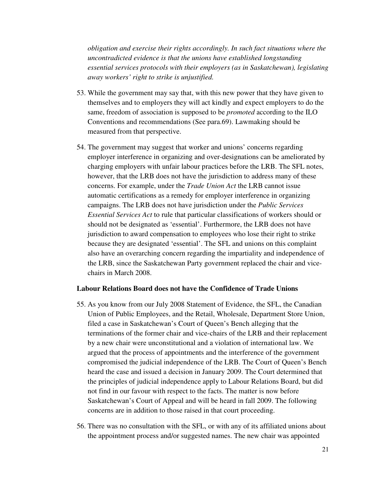*obligation and exercise their rights accordingly. In such fact situations where the uncontradicted evidence is that the unions have established longstanding essential services protocols with their employers (as in Saskatchewan), legislating away workers' right to strike is unjustified.* 

- 53. While the government may say that, with this new power that they have given to themselves and to employers they will act kindly and expect employers to do the same, freedom of association is supposed to be *promoted* according to the ILO Conventions and recommendations (See para.69). Lawmaking should be measured from that perspective.
- 54. The government may suggest that worker and unions' concerns regarding employer interference in organizing and over-designations can be ameliorated by charging employers with unfair labour practices before the LRB. The SFL notes, however, that the LRB does not have the jurisdiction to address many of these concerns. For example, under the *Trade Union Act* the LRB cannot issue automatic certifications as a remedy for employer interference in organizing campaigns. The LRB does not have jurisdiction under the *Public Services Essential Services Act* to rule that particular classifications of workers should or should not be designated as 'essential'. Furthermore, the LRB does not have jurisdiction to award compensation to employees who lose their right to strike because they are designated 'essential'. The SFL and unions on this complaint also have an overarching concern regarding the impartiality and independence of the LRB, since the Saskatchewan Party government replaced the chair and vicechairs in March 2008.

#### **Labour Relations Board does not have the Confidence of Trade Unions**

- 55. As you know from our July 2008 Statement of Evidence, the SFL, the Canadian Union of Public Employees, and the Retail, Wholesale, Department Store Union, filed a case in Saskatchewan's Court of Queen's Bench alleging that the terminations of the former chair and vice-chairs of the LRB and their replacement by a new chair were unconstitutional and a violation of international law. We argued that the process of appointments and the interference of the government compromised the judicial independence of the LRB. The Court of Queen's Bench heard the case and issued a decision in January 2009. The Court determined that the principles of judicial independence apply to Labour Relations Board, but did not find in our favour with respect to the facts. The matter is now before Saskatchewan's Court of Appeal and will be heard in fall 2009. The following concerns are in addition to those raised in that court proceeding.
- 56. There was no consultation with the SFL, or with any of its affiliated unions about the appointment process and/or suggested names. The new chair was appointed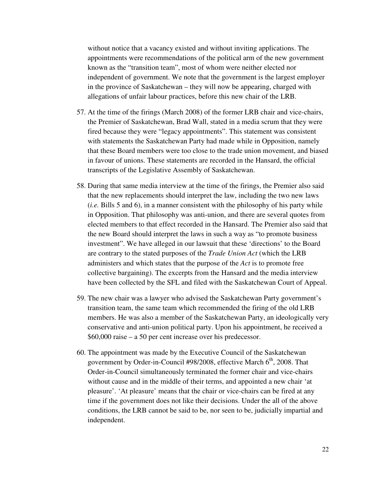without notice that a vacancy existed and without inviting applications. The appointments were recommendations of the political arm of the new government known as the "transition team", most of whom were neither elected nor independent of government. We note that the government is the largest employer in the province of Saskatchewan – they will now be appearing, charged with allegations of unfair labour practices, before this new chair of the LRB.

- 57. At the time of the firings (March 2008) of the former LRB chair and vice-chairs, the Premier of Saskatchewan, Brad Wall, stated in a media scrum that they were fired because they were "legacy appointments". This statement was consistent with statements the Saskatchewan Party had made while in Opposition, namely that these Board members were too close to the trade union movement, and biased in favour of unions. These statements are recorded in the Hansard, the official transcripts of the Legislative Assembly of Saskatchewan.
- 58. During that same media interview at the time of the firings, the Premier also said that the new replacements should interpret the law, including the two new laws (*i.e.* Bills 5 and 6), in a manner consistent with the philosophy of his party while in Opposition. That philosophy was anti-union, and there are several quotes from elected members to that effect recorded in the Hansard. The Premier also said that the new Board should interpret the laws in such a way as "to promote business investment". We have alleged in our lawsuit that these 'directions' to the Board are contrary to the stated purposes of the *Trade Union Act* (which the LRB administers and which states that the purpose of the *Act* is to promote free collective bargaining). The excerpts from the Hansard and the media interview have been collected by the SFL and filed with the Saskatchewan Court of Appeal.
- 59. The new chair was a lawyer who advised the Saskatchewan Party government's transition team, the same team which recommended the firing of the old LRB members. He was also a member of the Saskatchewan Party, an ideologically very conservative and anti-union political party. Upon his appointment, he received a \$60,000 raise – a 50 per cent increase over his predecessor.
- 60. The appointment was made by the Executive Council of the Saskatchewan government by Order-in-Council #98/2008, effective March 6<sup>th</sup>, 2008. That Order-in-Council simultaneously terminated the former chair and vice-chairs without cause and in the middle of their terms, and appointed a new chair 'at pleasure'. 'At pleasure' means that the chair or vice-chairs can be fired at any time if the government does not like their decisions. Under the all of the above conditions, the LRB cannot be said to be, nor seen to be, judicially impartial and independent.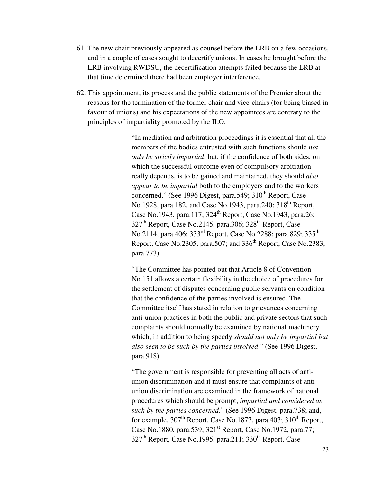- 61. The new chair previously appeared as counsel before the LRB on a few occasions, and in a couple of cases sought to decertify unions. In cases he brought before the LRB involving RWDSU, the decertification attempts failed because the LRB at that time determined there had been employer interference.
- 62. This appointment, its process and the public statements of the Premier about the reasons for the termination of the former chair and vice-chairs (for being biased in favour of unions) and his expectations of the new appointees are contrary to the principles of impartiality promoted by the ILO.

"In mediation and arbitration proceedings it is essential that all the members of the bodies entrusted with such functions should *not only be strictly impartial*, but, if the confidence of both sides, on which the successful outcome even of compulsory arbitration really depends, is to be gained and maintained, they should *also appear to be impartial* both to the employers and to the workers concerned." (See 1996 Digest, para.549;  $310^{th}$  Report, Case No.1928, para.182, and Case No.1943, para.240; 318<sup>th</sup> Report, Case No.1943, para.117; 324<sup>th</sup> Report, Case No.1943, para.26;  $327<sup>th</sup>$  Report, Case No.2145, para.306; 328<sup>th</sup> Report, Case No.2114, para.406; 333<sup>rd</sup> Report, Case No.2288; para.829; 335<sup>th</sup> Report, Case No.2305, para.507; and 336<sup>th</sup> Report, Case No.2383, para.773)

"The Committee has pointed out that Article 8 of Convention No.151 allows a certain flexibility in the choice of procedures for the settlement of disputes concerning public servants on condition that the confidence of the parties involved is ensured. The Committee itself has stated in relation to grievances concerning anti-union practices in both the public and private sectors that such complaints should normally be examined by national machinery which, in addition to being speedy *should not only be impartial but also seen to be such by the parties involved*." (See 1996 Digest, para.918)

"The government is responsible for preventing all acts of antiunion discrimination and it must ensure that complaints of antiunion discrimination are examined in the framework of national procedures which should be prompt, *impartial and considered as such by the parties concerned*." (See 1996 Digest, para.738; and, for example,  $307<sup>th</sup>$  Report, Case No.1877, para.403;  $310<sup>th</sup>$  Report, Case No.1880, para.539; 321st Report, Case No.1972, para.77;  $327<sup>th</sup>$  Report, Case No.1995, para.211; 330<sup>th</sup> Report, Case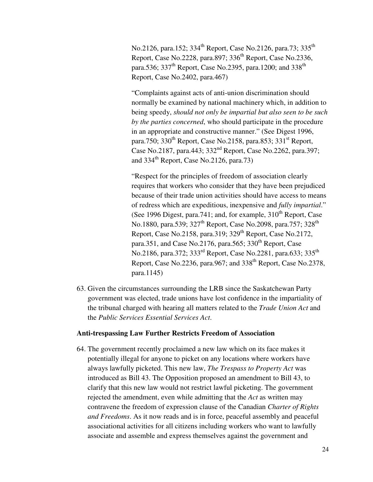No.2126, para.152; 334<sup>th</sup> Report, Case No.2126, para.73; 335<sup>th</sup> Report, Case No.2228, para.897; 336<sup>th</sup> Report, Case No.2336, para.536; 337<sup>th</sup> Report, Case No.2395, para.1200; and 338<sup>th</sup> Report, Case No.2402, para.467)

"Complaints against acts of anti-union discrimination should normally be examined by national machinery which, in addition to being speedy, *should not only be impartial but also seen to be such by the parties concerned*, who should participate in the procedure in an appropriate and constructive manner." (See Digest 1996, para.750;  $330<sup>th</sup>$  Report, Case No.2158, para.853;  $331<sup>st</sup>$  Report, Case No.2187, para.443; 332nd Report, Case No.2262, para.397; and  $334<sup>th</sup>$  Report, Case No.2126, para.73)

"Respect for the principles of freedom of association clearly requires that workers who consider that they have been prejudiced because of their trade union activities should have access to means of redress which are expeditious, inexpensive and *fully impartial*." (See 1996 Digest, para.741; and, for example,  $310<sup>th</sup>$  Report, Case No.1880, para.539; 327<sup>th</sup> Report, Case No.2098, para.757; 328<sup>th</sup> Report, Case No.2158, para.319;  $329<sup>th</sup>$  Report, Case No.2172, para.351, and Case No.2176, para.565; 330<sup>th</sup> Report, Case No.2186, para.372; 333<sup>rd</sup> Report, Case No.2281, para.633; 335<sup>th</sup> Report, Case No.2236, para.967; and  $338<sup>th</sup>$  Report, Case No.2378, para.1145)

63. Given the circumstances surrounding the LRB since the Saskatchewan Party government was elected, trade unions have lost confidence in the impartiality of the tribunal charged with hearing all matters related to the *Trade Union Act* and the *Public Services Essential Services Act*.

#### **Anti-trespassing Law Further Restricts Freedom of Association**

64. The government recently proclaimed a new law which on its face makes it potentially illegal for anyone to picket on any locations where workers have always lawfully picketed. This new law, *The Trespass to Property Act* was introduced as Bill 43. The Opposition proposed an amendment to Bill 43, to clarify that this new law would not restrict lawful picketing. The government rejected the amendment, even while admitting that the *Act* as written may contravene the freedom of expression clause of the Canadian *Charter of Rights and Freedoms*. As it now reads and is in force, peaceful assembly and peaceful associational activities for all citizens including workers who want to lawfully associate and assemble and express themselves against the government and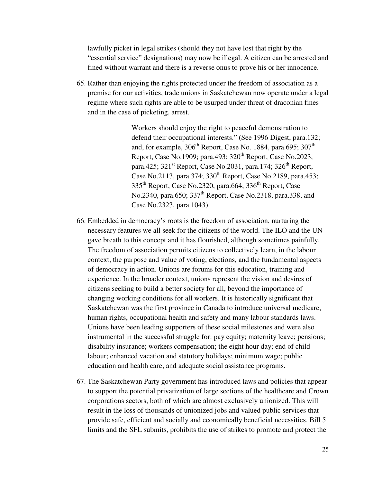lawfully picket in legal strikes (should they not have lost that right by the "essential service" designations) may now be illegal. A citizen can be arrested and fined without warrant and there is a reverse onus to prove his or her innocence.

65. Rather than enjoying the rights protected under the freedom of association as a premise for our activities, trade unions in Saskatchewan now operate under a legal regime where such rights are able to be usurped under threat of draconian fines and in the case of picketing, arrest.

> Workers should enjoy the right to peaceful demonstration to defend their occupational interests." (See 1996 Digest, para.132; and, for example,  $306<sup>th</sup>$  Report, Case No. 1884, para.695;  $307<sup>th</sup>$ Report, Case No.1909; para.493;  $320<sup>th</sup>$  Report, Case No.2023, para.425;  $321<sup>st</sup>$  Report, Case No.2031, para.174;  $326<sup>th</sup>$  Report, Case No.2113, para.374; 330<sup>th</sup> Report, Case No.2189, para.453; 335th Report, Case No.2320, para.664; 336th Report, Case No.2340, para.650;  $337<sup>th</sup>$  Report, Case No.2318, para.338, and Case No.2323, para.1043)

- 66. Embedded in democracy's roots is the freedom of association, nurturing the necessary features we all seek for the citizens of the world. The ILO and the UN gave breath to this concept and it has flourished, although sometimes painfully. The freedom of association permits citizens to collectively learn, in the labour context, the purpose and value of voting, elections, and the fundamental aspects of democracy in action. Unions are forums for this education, training and experience. In the broader context, unions represent the vision and desires of citizens seeking to build a better society for all, beyond the importance of changing working conditions for all workers. It is historically significant that Saskatchewan was the first province in Canada to introduce universal medicare, human rights, occupational health and safety and many labour standards laws. Unions have been leading supporters of these social milestones and were also instrumental in the successful struggle for: pay equity; maternity leave; pensions; disability insurance; workers compensation; the eight hour day; end of child labour; enhanced vacation and statutory holidays; minimum wage; public education and health care; and adequate social assistance programs.
- 67. The Saskatchewan Party government has introduced laws and policies that appear to support the potential privatization of large sections of the healthcare and Crown corporations sectors, both of which are almost exclusively unionized. This will result in the loss of thousands of unionized jobs and valued public services that provide safe, efficient and socially and economically beneficial necessities. Bill 5 limits and the SFL submits, prohibits the use of strikes to promote and protect the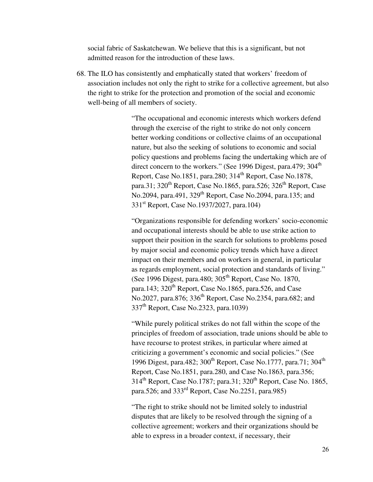social fabric of Saskatchewan. We believe that this is a significant, but not admitted reason for the introduction of these laws.

68. The ILO has consistently and emphatically stated that workers' freedom of association includes not only the right to strike for a collective agreement, but also the right to strike for the protection and promotion of the social and economic well-being of all members of society.

> "The occupational and economic interests which workers defend through the exercise of the right to strike do not only concern better working conditions or collective claims of an occupational nature, but also the seeking of solutions to economic and social policy questions and problems facing the undertaking which are of direct concern to the workers." (See 1996 Digest, para.479;  $304<sup>th</sup>$ Report, Case No.1851, para.280;  $314<sup>th</sup>$  Report, Case No.1878, para.31;  $320^{th}$  Report, Case No.1865, para.526;  $326^{th}$  Report, Case No.2094, para.491, 329<sup>th</sup> Report, Case No.2094, para.135; and 331<sup>st</sup> Report, Case No.1937/2027, para.104)

> "Organizations responsible for defending workers' socio-economic and occupational interests should be able to use strike action to support their position in the search for solutions to problems posed by major social and economic policy trends which have a direct impact on their members and on workers in general, in particular as regards employment, social protection and standards of living." (See 1996 Digest, para.480;  $305<sup>th</sup>$  Report, Case No. 1870, para.143;  $320<sup>th</sup>$  Report, Case No.1865, para.526, and Case No.2027, para.876; 336<sup>th</sup> Report, Case No.2354, para.682; and 337th Report, Case No.2323, para.1039)

> "While purely political strikes do not fall within the scope of the principles of freedom of association, trade unions should be able to have recourse to protest strikes, in particular where aimed at criticizing a government's economic and social policies." (See 1996 Digest, para.482;  $300^{th}$  Report, Case No.1777, para.71;  $304^{th}$ Report, Case No.1851, para.280, and Case No.1863, para.356;  $314<sup>th</sup>$  Report, Case No.1787; para.31;  $320<sup>th</sup>$  Report, Case No. 1865, para.526; and  $333<sup>rd</sup>$  Report, Case No.2251, para.985)

"The right to strike should not be limited solely to industrial disputes that are likely to be resolved through the signing of a collective agreement; workers and their organizations should be able to express in a broader context, if necessary, their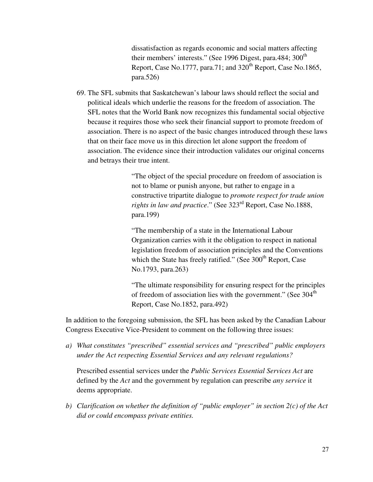dissatisfaction as regards economic and social matters affecting their members' interests." (See 1996 Digest, para.484; 300<sup>th</sup> Report, Case No.1777, para.71; and  $320<sup>th</sup>$  Report, Case No.1865, para.526)

69. The SFL submits that Saskatchewan's labour laws should reflect the social and political ideals which underlie the reasons for the freedom of association. The SFL notes that the World Bank now recognizes this fundamental social objective because it requires those who seek their financial support to promote freedom of association. There is no aspect of the basic changes introduced through these laws that on their face move us in this direction let alone support the freedom of association. The evidence since their introduction validates our original concerns and betrays their true intent.

> "The object of the special procedure on freedom of association is not to blame or punish anyone, but rather to engage in a constructive tripartite dialogue to *promote respect for trade union rights in law and practice.*" (See 323<sup>rd</sup> Report, Case No.1888, para.199)

> "The membership of a state in the International Labour Organization carries with it the obligation to respect in national legislation freedom of association principles and the Conventions which the State has freely ratified." (See  $300<sup>th</sup>$  Report, Case No.1793, para.263)

"The ultimate responsibility for ensuring respect for the principles of freedom of association lies with the government." (See  $304<sup>th</sup>$ Report, Case No.1852, para.492)

In addition to the foregoing submission, the SFL has been asked by the Canadian Labour Congress Executive Vice-President to comment on the following three issues:

*a) What constitutes "prescribed" essential services and "prescribed" public employers under the Act respecting Essential Services and any relevant regulations?*

Prescribed essential services under the *Public Services Essential Services Act* are defined by the *Act* and the government by regulation can prescribe *any service* it deems appropriate.

*b) Clarification on whether the definition of "public employer" in section 2(c) of the Act did or could encompass private entities.*